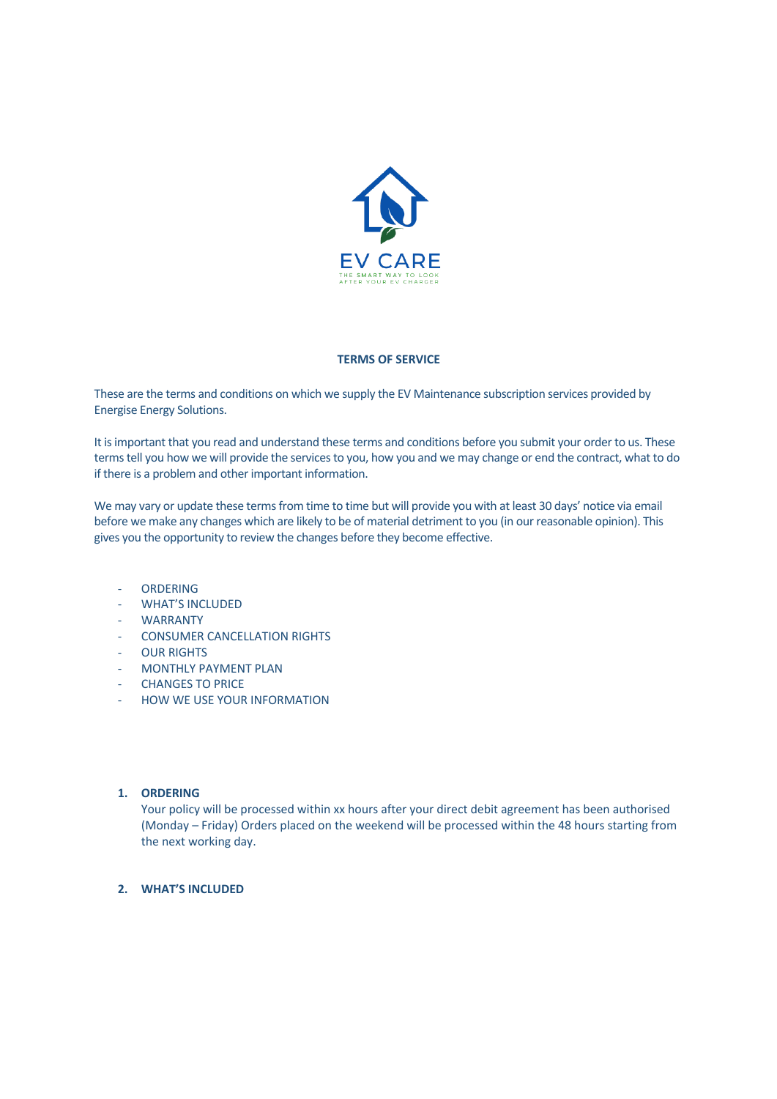

#### **TERMS OF SERVICE**

These are the terms and conditions on which we supply the EV Maintenance subscription services provided by Energise Energy Solutions.

It is important that you read and understand these terms and conditions before you submit your order to us. These terms tell you how we will provide the services to you, how you and we may change or end the contract, what to do if there is a problem and other important information.

We may vary or update these terms from time to time but will provide you with at least 30 days' notice via email before we make any changes which are likely to be of material detriment to you (in our reasonable opinion). This gives you the opportunity to review the changes before they become effective.

- ORDERING
- WHAT'S INCLUDED
- WARRANTY
- CONSUMER CANCELLATION RIGHTS
- **OUR RIGHTS**
- MONTHLY PAYMENT PLAN
- **CHANGES TO PRICE**
- HOW WE USE YOUR INFORMATION

# **1. ORDERING**

Your policy will be processed within xx hours after your direct debit agreement has been authorised (Monday – Friday) Orders placed on the weekend will be processed within the 48 hours starting from the next working day.

# **2. WHAT'S INCLUDED**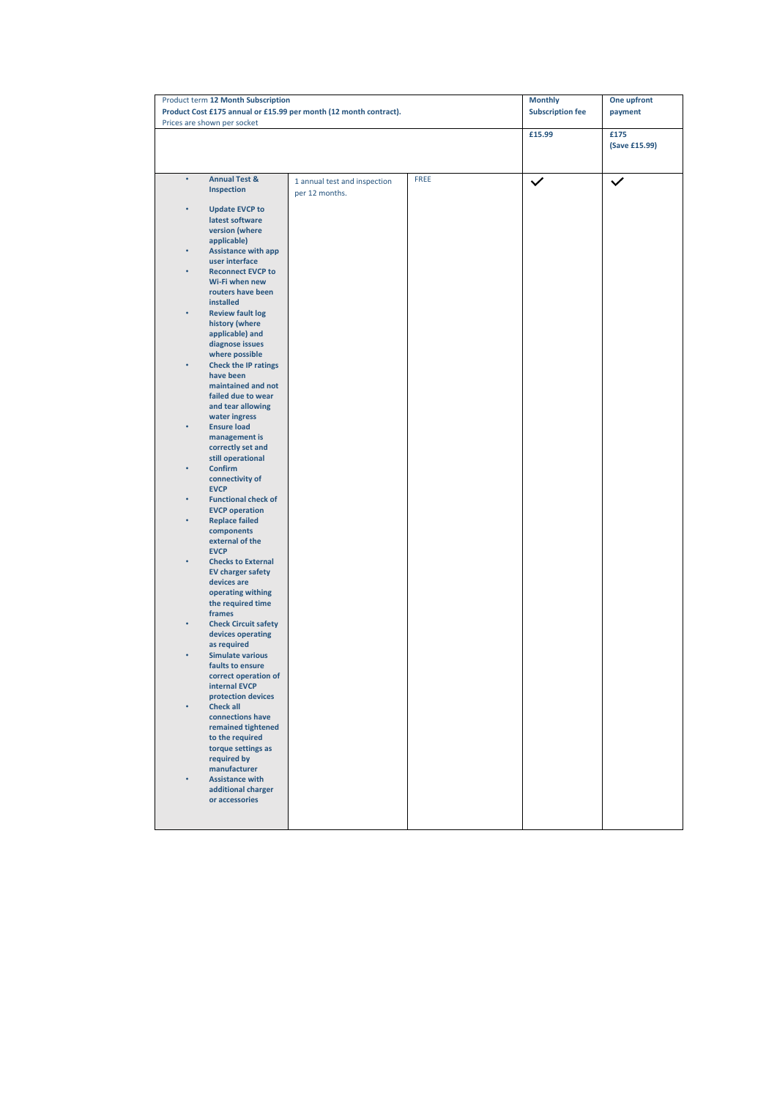| Product term 12 Month Subscription<br>Product Cost £175 annual or £15.99 per month (12 month contract). |                              |             | <b>Monthly</b>          | One upfront   |
|---------------------------------------------------------------------------------------------------------|------------------------------|-------------|-------------------------|---------------|
| Prices are shown per socket                                                                             |                              |             | <b>Subscription fee</b> | payment       |
|                                                                                                         |                              |             | £15.99                  | £175          |
|                                                                                                         |                              |             |                         | (Save £15.99) |
|                                                                                                         |                              |             |                         |               |
| <b>Annual Test &amp;</b><br>$\bullet$                                                                   | 1 annual test and inspection | <b>FREE</b> | $\checkmark$            | $\checkmark$  |
| Inspection                                                                                              | per 12 months.               |             |                         |               |
| <b>Update EVCP to</b><br>۰                                                                              |                              |             |                         |               |
| latest software<br>version (where                                                                       |                              |             |                         |               |
| applicable)                                                                                             |                              |             |                         |               |
| <b>Assistance with app</b>                                                                              |                              |             |                         |               |
| user interface<br><b>Reconnect EVCP to</b><br>۰                                                         |                              |             |                         |               |
| Wi-Fi when new                                                                                          |                              |             |                         |               |
| routers have been<br>installed                                                                          |                              |             |                         |               |
| <b>Review fault log</b>                                                                                 |                              |             |                         |               |
| history (where                                                                                          |                              |             |                         |               |
| applicable) and<br>diagnose issues                                                                      |                              |             |                         |               |
| where possible                                                                                          |                              |             |                         |               |
| <b>Check the IP ratings</b><br>have been                                                                |                              |             |                         |               |
| maintained and not                                                                                      |                              |             |                         |               |
| failed due to wear                                                                                      |                              |             |                         |               |
| and tear allowing<br>water ingress                                                                      |                              |             |                         |               |
| <b>Ensure load</b><br>$\bullet$                                                                         |                              |             |                         |               |
| management is<br>correctly set and                                                                      |                              |             |                         |               |
| still operational                                                                                       |                              |             |                         |               |
| Confirm<br>٠                                                                                            |                              |             |                         |               |
| connectivity of<br><b>EVCP</b>                                                                          |                              |             |                         |               |
| <b>Functional check of</b><br>٠                                                                         |                              |             |                         |               |
| <b>EVCP operation</b><br><b>Replace failed</b><br>$\bullet$                                             |                              |             |                         |               |
| components                                                                                              |                              |             |                         |               |
| external of the<br><b>EVCP</b>                                                                          |                              |             |                         |               |
| <b>Checks to External</b>                                                                               |                              |             |                         |               |
| <b>EV charger safety</b>                                                                                |                              |             |                         |               |
| devices are<br>operating withing                                                                        |                              |             |                         |               |
| the required time                                                                                       |                              |             |                         |               |
| frames<br>$\bullet$                                                                                     |                              |             |                         |               |
| <b>Check Circuit safety</b><br>devices operating                                                        |                              |             |                         |               |
| as required                                                                                             |                              |             |                         |               |
| <b>Simulate various</b><br>faults to ensure                                                             |                              |             |                         |               |
| correct operation of                                                                                    |                              |             |                         |               |
| internal EVCP                                                                                           |                              |             |                         |               |
| protection devices<br><b>Check all</b><br>۰                                                             |                              |             |                         |               |
| connections have                                                                                        |                              |             |                         |               |
| remained tightened<br>to the required                                                                   |                              |             |                         |               |
| torque settings as                                                                                      |                              |             |                         |               |
| required by<br>manufacturer                                                                             |                              |             |                         |               |
| <b>Assistance with</b>                                                                                  |                              |             |                         |               |
| additional charger                                                                                      |                              |             |                         |               |
| or accessories                                                                                          |                              |             |                         |               |
|                                                                                                         |                              |             |                         |               |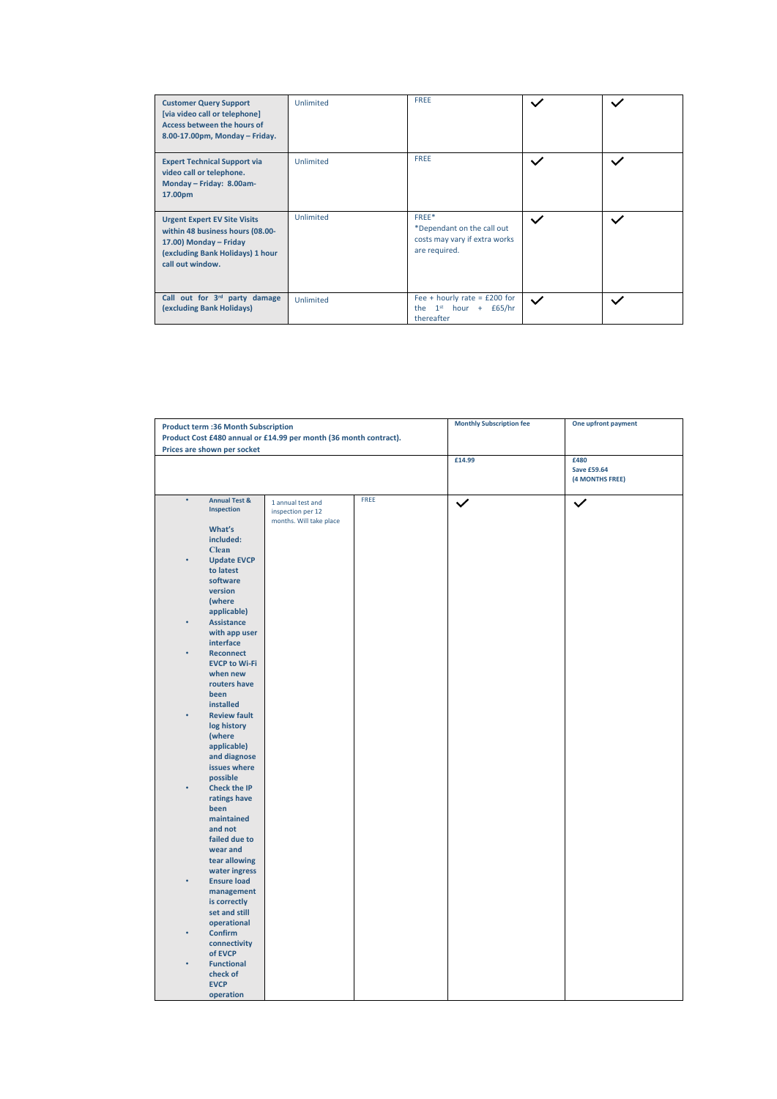| <b>Customer Query Support</b><br>[via video call or telephone]<br>Access between the hours of<br>8.00-17.00pm, Monday - Friday.                           | Unlimited | <b>FREE</b>                                                                                  |              |   |
|-----------------------------------------------------------------------------------------------------------------------------------------------------------|-----------|----------------------------------------------------------------------------------------------|--------------|---|
| <b>Expert Technical Support via</b><br>video call or telephone.<br>Monday - Friday: 8.00am-<br>17.00pm                                                    | Unlimited | <b>FREE</b>                                                                                  |              |   |
| <b>Urgent Expert EV Site Visits</b><br>within 48 business hours (08.00-<br>17.00) Monday - Friday<br>(excluding Bank Holidays) 1 hour<br>call out window. | Unlimited | FREE*<br>*Dependant on the call out<br>costs may vary if extra works<br>are required.        | $\checkmark$ | ◡ |
| Call out for 3 <sup>rd</sup> party damage<br>(excluding Bank Holidays)                                                                                    | Unlimited | Fee + hourly rate = $£200$ for<br>1 <sup>st</sup><br>the<br>hour $+$<br>£65/hr<br>thereafter | $\checkmark$ |   |

| <b>Product term :36 Month Subscription</b>                        |                          |                                        | <b>Monthly Subscription fee</b> | One upfront payment |                    |
|-------------------------------------------------------------------|--------------------------|----------------------------------------|---------------------------------|---------------------|--------------------|
| Product Cost £480 annual or £14.99 per month (36 month contract). |                          |                                        |                                 |                     |                    |
| Prices are shown per socket                                       |                          |                                        |                                 |                     |                    |
|                                                                   |                          |                                        |                                 | £14.99              | £480               |
|                                                                   |                          |                                        |                                 |                     | <b>Save £59.64</b> |
|                                                                   |                          |                                        |                                 |                     | (4 MONTHS FREE)    |
| $\bullet$                                                         | <b>Annual Test &amp;</b> |                                        | FREE                            |                     |                    |
|                                                                   | Inspection               | 1 annual test and<br>inspection per 12 |                                 | $\checkmark$        | $\checkmark$       |
|                                                                   |                          | months. Will take place                |                                 |                     |                    |
|                                                                   | What's                   |                                        |                                 |                     |                    |
|                                                                   | included:                |                                        |                                 |                     |                    |
|                                                                   | <b>Clean</b>             |                                        |                                 |                     |                    |
|                                                                   | <b>Update EVCP</b>       |                                        |                                 |                     |                    |
|                                                                   | to latest<br>software    |                                        |                                 |                     |                    |
|                                                                   | version                  |                                        |                                 |                     |                    |
|                                                                   | (where                   |                                        |                                 |                     |                    |
|                                                                   | applicable)              |                                        |                                 |                     |                    |
|                                                                   | <b>Assistance</b>        |                                        |                                 |                     |                    |
|                                                                   | with app user            |                                        |                                 |                     |                    |
|                                                                   | interface                |                                        |                                 |                     |                    |
|                                                                   | <b>Reconnect</b>         |                                        |                                 |                     |                    |
|                                                                   | <b>EVCP to Wi-Fi</b>     |                                        |                                 |                     |                    |
|                                                                   | when new                 |                                        |                                 |                     |                    |
|                                                                   | routers have<br>been     |                                        |                                 |                     |                    |
|                                                                   | installed                |                                        |                                 |                     |                    |
|                                                                   | <b>Review fault</b>      |                                        |                                 |                     |                    |
|                                                                   | log history              |                                        |                                 |                     |                    |
|                                                                   | (where                   |                                        |                                 |                     |                    |
|                                                                   | applicable)              |                                        |                                 |                     |                    |
|                                                                   | and diagnose             |                                        |                                 |                     |                    |
|                                                                   | issues where             |                                        |                                 |                     |                    |
|                                                                   | possible                 |                                        |                                 |                     |                    |
|                                                                   | <b>Check the IP</b>      |                                        |                                 |                     |                    |
|                                                                   | ratings have             |                                        |                                 |                     |                    |
|                                                                   | been<br>maintained       |                                        |                                 |                     |                    |
|                                                                   | and not                  |                                        |                                 |                     |                    |
|                                                                   | failed due to            |                                        |                                 |                     |                    |
|                                                                   | wear and                 |                                        |                                 |                     |                    |
|                                                                   | tear allowing            |                                        |                                 |                     |                    |
|                                                                   | water ingress            |                                        |                                 |                     |                    |
|                                                                   | <b>Ensure load</b>       |                                        |                                 |                     |                    |
|                                                                   | management               |                                        |                                 |                     |                    |
|                                                                   | is correctly             |                                        |                                 |                     |                    |
|                                                                   | set and still            |                                        |                                 |                     |                    |
|                                                                   | operational              |                                        |                                 |                     |                    |
|                                                                   | Confirm<br>connectivity  |                                        |                                 |                     |                    |
|                                                                   | of EVCP                  |                                        |                                 |                     |                    |
|                                                                   | <b>Functional</b>        |                                        |                                 |                     |                    |
|                                                                   | check of                 |                                        |                                 |                     |                    |
|                                                                   | <b>EVCP</b>              |                                        |                                 |                     |                    |
|                                                                   | operation                |                                        |                                 |                     |                    |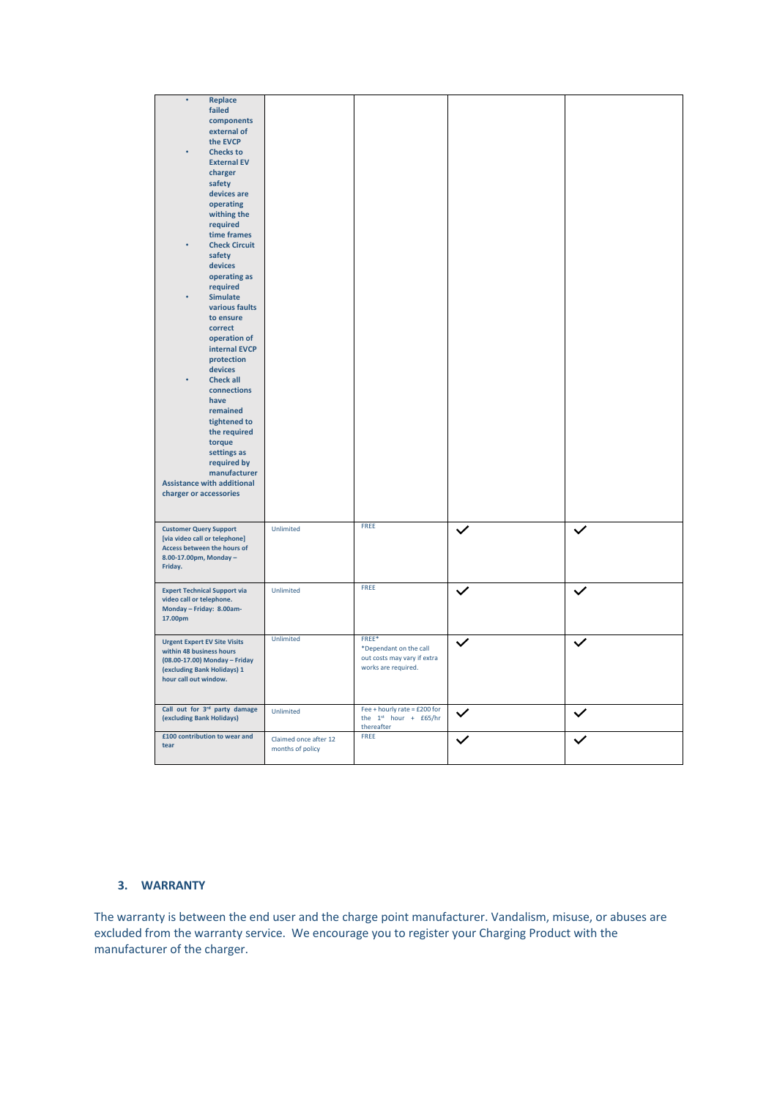| $\bullet$<br>Replace<br>failed<br>components<br>external of<br>the EVCP<br><b>Checks to</b><br><b>External EV</b><br>charger<br>safety<br>devices are<br>operating<br>withing the<br>required<br>time frames<br><b>Check Circuit</b><br>safety<br>devices<br>operating as<br>required<br><b>Simulate</b><br>various faults<br>to ensure<br>correct<br>operation of<br>internal EVCP<br>protection<br>devices<br><b>Check all</b><br>connections<br>have<br>remained<br>tightened to<br>the required<br>torque<br>settings as<br>required by<br>manufacturer<br><b>Assistance with additional</b><br>charger or accessories |                                           |                                                                                       |              |
|----------------------------------------------------------------------------------------------------------------------------------------------------------------------------------------------------------------------------------------------------------------------------------------------------------------------------------------------------------------------------------------------------------------------------------------------------------------------------------------------------------------------------------------------------------------------------------------------------------------------------|-------------------------------------------|---------------------------------------------------------------------------------------|--------------|
| <b>Customer Query Support</b><br>[via video call or telephone]<br>Access between the hours of<br>8.00-17.00pm, Monday-<br>Friday.                                                                                                                                                                                                                                                                                                                                                                                                                                                                                          | Unlimited                                 | FREE                                                                                  | $\checkmark$ |
| <b>Expert Technical Support via</b><br>video call or telephone.<br>Monday - Friday: 8.00am-<br>17.00pm                                                                                                                                                                                                                                                                                                                                                                                                                                                                                                                     | Unlimited                                 | FREE                                                                                  |              |
| <b>Urgent Expert EV Site Visits</b><br>within 48 business hours<br>(08.00-17.00) Monday - Friday<br>(excluding Bank Holidays) 1<br>hour call out window.                                                                                                                                                                                                                                                                                                                                                                                                                                                                   | <b>Unlimited</b>                          | FREE*<br>*Dependant on the call<br>out costs may vary if extra<br>works are required. |              |
| Call out for 3rd party damage<br>(excluding Bank Holidays)                                                                                                                                                                                                                                                                                                                                                                                                                                                                                                                                                                 | Unlimited                                 | Fee + hourly rate = £200 for<br>the $1^{st}$ hour + £65/hr<br>thereafter              |              |
| £100 contribution to wear and<br>tear                                                                                                                                                                                                                                                                                                                                                                                                                                                                                                                                                                                      | Claimed once after 12<br>months of policy | FREE                                                                                  |              |
|                                                                                                                                                                                                                                                                                                                                                                                                                                                                                                                                                                                                                            |                                           |                                                                                       |              |

# **3. WARRANTY**

The warranty is between the end user and the charge point manufacturer. Vandalism, misuse, or abuses are excluded from the warranty service. We encourage you to register your Charging Product with the manufacturer of the charger.